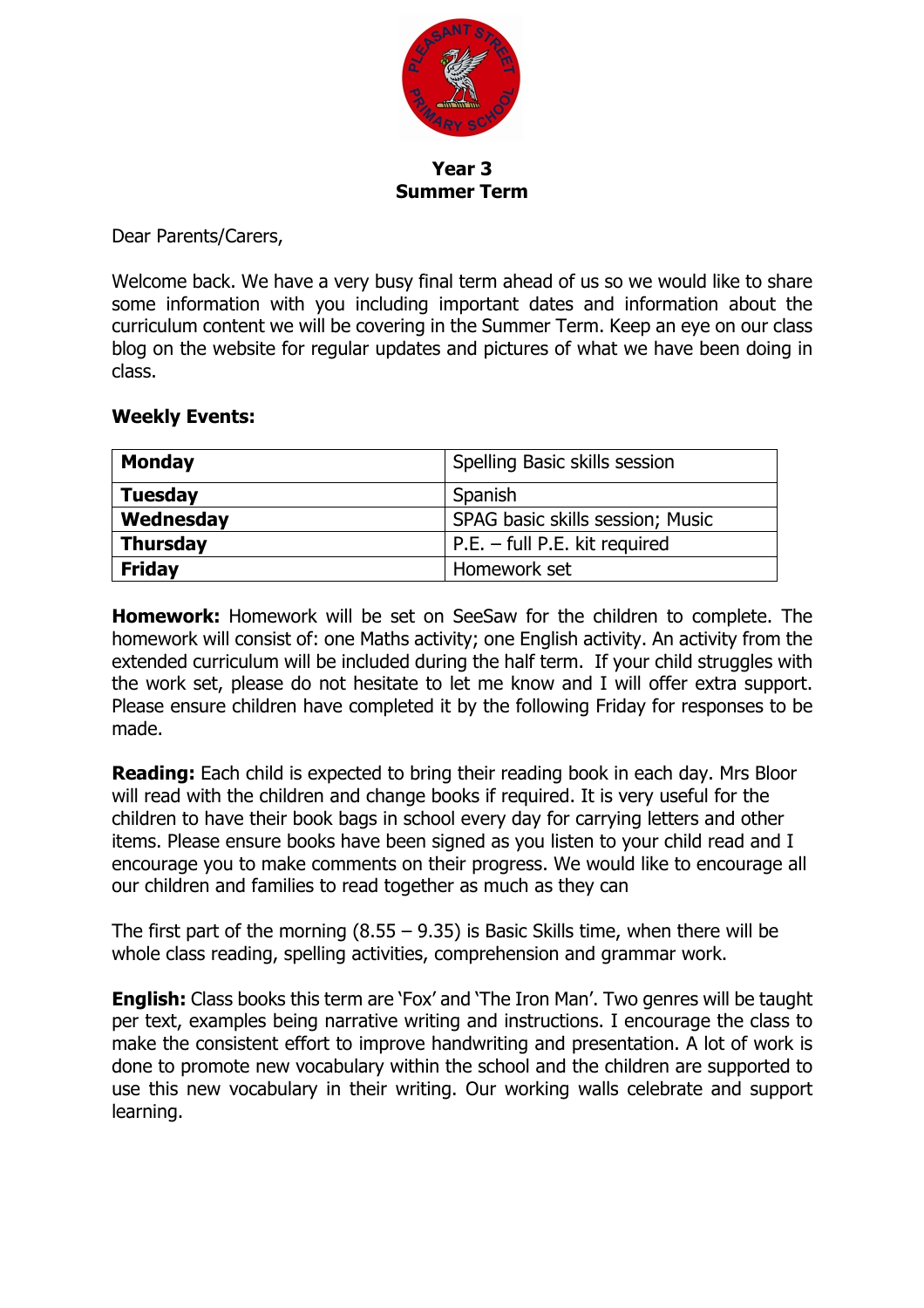

**Year 3 Summer Term**

Dear Parents/Carers,

Welcome back. We have a very busy final term ahead of us so we would like to share some information with you including important dates and information about the curriculum content we will be covering in the Summer Term. Keep an eye on our class blog on the website for regular updates and pictures of what we have been doing in class.

## **Weekly Events:**

| <b>Monday</b>   | Spelling Basic skills session    |  |
|-----------------|----------------------------------|--|
| <b>Tuesday</b>  | Spanish                          |  |
| Wednesday       | SPAG basic skills session; Music |  |
| <b>Thursday</b> | $P.E. - full P.E. kit required$  |  |
| <b>Friday</b>   | Homework set                     |  |

**Homework:** Homework will be set on SeeSaw for the children to complete. The homework will consist of: one Maths activity; one English activity. An activity from the extended curriculum will be included during the half term. If your child struggles with the work set, please do not hesitate to let me know and I will offer extra support. Please ensure children have completed it by the following Friday for responses to be made.

**Reading:** Each child is expected to bring their reading book in each day. Mrs Bloor will read with the children and change books if required. It is very useful for the children to have their book bags in school every day for carrying letters and other items. Please ensure books have been signed as you listen to your child read and I encourage you to make comments on their progress. We would like to encourage all our children and families to read together as much as they can

The first part of the morning  $(8.55 - 9.35)$  is Basic Skills time, when there will be whole class reading, spelling activities, comprehension and grammar work.

**English:** Class books this term are 'Fox' and 'The Iron Man'. Two genres will be taught per text, examples being narrative writing and instructions. I encourage the class to make the consistent effort to improve handwriting and presentation. A lot of work is done to promote new vocabulary within the school and the children are supported to use this new vocabulary in their writing. Our working walls celebrate and support learning.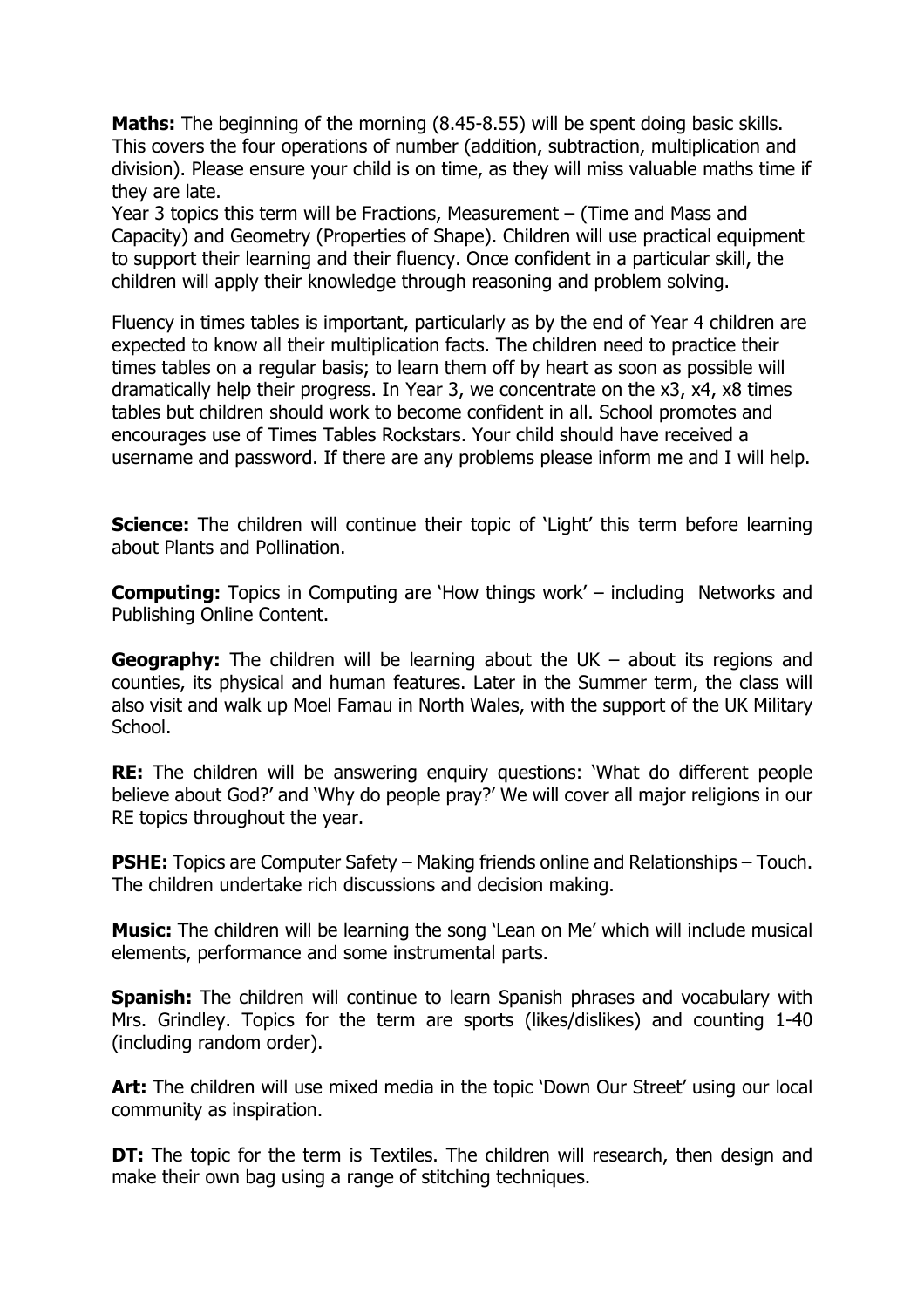**Maths:** The beginning of the morning (8.45-8.55) will be spent doing basic skills. This covers the four operations of number (addition, subtraction, multiplication and division). Please ensure your child is on time, as they will miss valuable maths time if they are late.

Year 3 topics this term will be Fractions, Measurement – (Time and Mass and Capacity) and Geometry (Properties of Shape). Children will use practical equipment to support their learning and their fluency. Once confident in a particular skill, the children will apply their knowledge through reasoning and problem solving.

Fluency in times tables is important, particularly as by the end of Year 4 children are expected to know all their multiplication facts. The children need to practice their times tables on a regular basis; to learn them off by heart as soon as possible will dramatically help their progress. In Year 3, we concentrate on the x3, x4, x8 times tables but children should work to become confident in all. School promotes and encourages use of Times Tables Rockstars. Your child should have received a username and password. If there are any problems please inform me and I will help.

**Science:** The children will continue their topic of 'Light' this term before learning about Plants and Pollination.

**Computing:** Topics in Computing are 'How things work' – including Networks and Publishing Online Content.

**Geography:** The children will be learning about the UK – about its regions and counties, its physical and human features. Later in the Summer term, the class will also visit and walk up Moel Famau in North Wales, with the support of the UK Military School.

**RE:** The children will be answering enquiry questions: 'What do different people believe about God?' and 'Why do people pray?' We will cover all major religions in our RE topics throughout the year.

**PSHE:** Topics are Computer Safety – Making friends online and Relationships – Touch. The children undertake rich discussions and decision making.

**Music:** The children will be learning the song 'Lean on Me' which will include musical elements, performance and some instrumental parts.

**Spanish:** The children will continue to learn Spanish phrases and vocabulary with Mrs. Grindley. Topics for the term are sports (likes/dislikes) and counting 1-40 (including random order).

Art: The children will use mixed media in the topic 'Down Our Street' using our local community as inspiration.

**DT:** The topic for the term is Textiles. The children will research, then design and make their own bag using a range of stitching techniques.